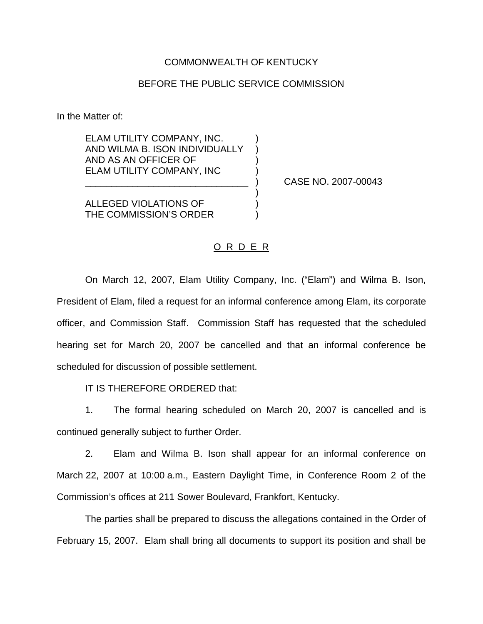## COMMONWEALTH OF KENTUCKY

## BEFORE THE PUBLIC SERVICE COMMISSION

In the Matter of:

ELAM UTILITY COMPANY, INC. ) AND WILMA B. ISON INDIVIDUALLY ) AND AS AN OFFICER OF ) ELAM UTILITY COMPANY, INC )

\_\_\_\_\_\_\_\_\_\_\_\_\_\_\_\_\_\_\_\_\_\_\_\_\_\_\_\_\_\_\_ ) CASE NO. 2007-00043

ALLEGED VIOLATIONS OF ) THE COMMISSION'S ORDER

## O R D E R

)

On March 12, 2007, Elam Utility Company, Inc. ("Elam") and Wilma B. Ison, President of Elam, filed a request for an informal conference among Elam, its corporate officer, and Commission Staff. Commission Staff has requested that the scheduled hearing set for March 20, 2007 be cancelled and that an informal conference be scheduled for discussion of possible settlement.

IT IS THEREFORE ORDERED that:

1. The formal hearing scheduled on March 20, 2007 is cancelled and is continued generally subject to further Order.

2. Elam and Wilma B. Ison shall appear for an informal conference on March 22, 2007 at 10:00 a.m., Eastern Daylight Time, in Conference Room 2 of the Commission's offices at 211 Sower Boulevard, Frankfort, Kentucky.

The parties shall be prepared to discuss the allegations contained in the Order of February 15, 2007. Elam shall bring all documents to support its position and shall be